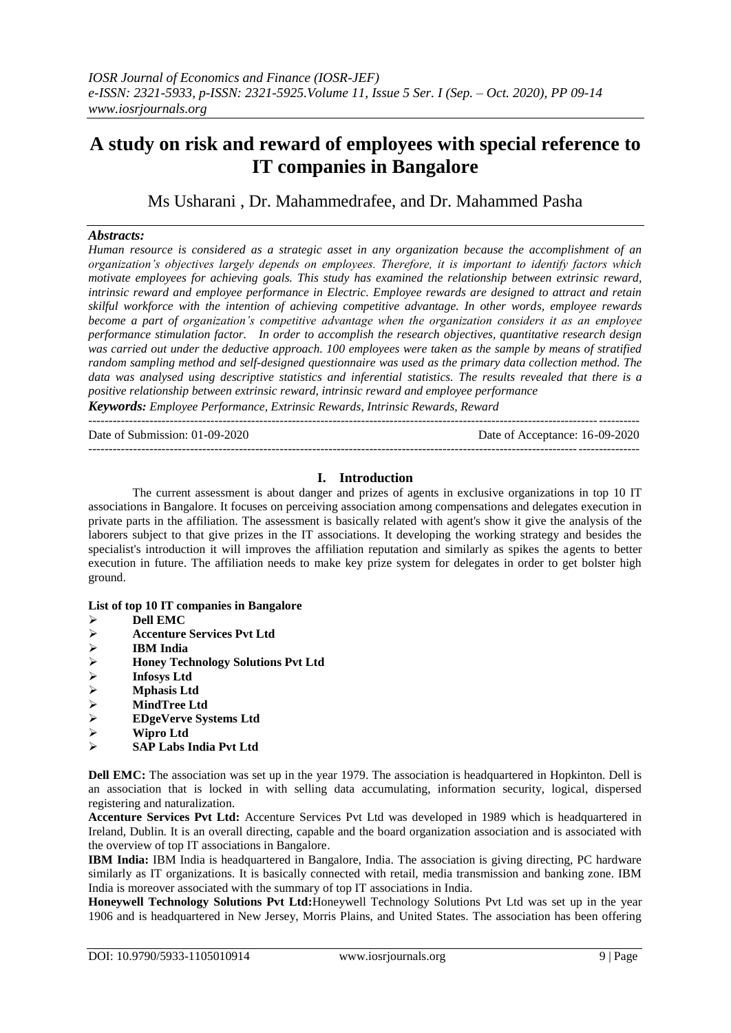# **A study on risk and reward of employees with special reference to IT companies in Bangalore**

Ms Usharani , Dr. Mahammedrafee, and Dr. Mahammed Pasha

# *Abstracts:*

*Human resource is considered as a strategic asset in any organization because the accomplishment of an organization's objectives largely depends on employees. Therefore, it is important to identify factors which motivate employees for achieving goals. This study has examined the relationship between extrinsic reward, intrinsic reward and employee performance in Electric. Employee rewards are designed to attract and retain skilful workforce with the intention of achieving competitive advantage. In other words, employee rewards become a part of organization's competitive advantage when the organization considers it as an employee performance stimulation factor. In order to accomplish the research objectives, quantitative research design was carried out under the deductive approach. 100 employees were taken as the sample by means of stratified random sampling method and self-designed questionnaire was used as the primary data collection method. The data was analysed using descriptive statistics and inferential statistics. The results revealed that there is a positive relationship between extrinsic reward, intrinsic reward and employee performance*

*Keywords: Employee Performance, Extrinsic Rewards, Intrinsic Rewards, Reward* ---------------------------------------------------------------------------------------------------------------------------------------

Date of Submission: 01-09-2020 Date of Acceptance: 16-09-2020 ---------------------------------------------------------------------------------------------------------------------------------------

# **I. Introduction**

The current assessment is about danger and prizes of agents in exclusive organizations in top 10 IT associations in Bangalore. It focuses on perceiving association among compensations and delegates execution in private parts in the affiliation. The assessment is basically related with agent's show it give the analysis of the laborers subject to that give prizes in the IT associations. It developing the working strategy and besides the specialist's introduction it will improves the affiliation reputation and similarly as spikes the agents to better execution in future. The affiliation needs to make key prize system for delegates in order to get bolster high ground.

# **List of top 10 IT companies in Bangalore**

- **Dell EMC**
- **Accenture Services Pvt Ltd**
- **IBM India**
- → **Honey Technology Solutions Pvt Ltd**<br>→ Infosys Ltd<br>→ Mphasis Ltd
- **Infosys Ltd**
- → **Mphasis Ltd**<br>→ MindTree Lt
- **★** MindTree Ltd<br>★ EDgeVerve Sys
- **EDgeVerve Systems Ltd**
- **Wipro Ltd**
- **SAP Labs India Pvt Ltd**

**Dell EMC:** The association was set up in the year 1979. The association is headquartered in Hopkinton. Dell is an association that is locked in with selling data accumulating, information security, logical, dispersed registering and naturalization.

**Accenture Services Pvt Ltd:** Accenture Services Pvt Ltd was developed in 1989 which is headquartered in Ireland, Dublin. It is an overall directing, capable and the board organization association and is associated with the overview of top IT associations in Bangalore.

**IBM India:** IBM India is headquartered in Bangalore, India. The association is giving directing, PC hardware similarly as IT organizations. It is basically connected with retail, media transmission and banking zone. IBM India is moreover associated with the summary of top IT associations in India.

**Honeywell Technology Solutions Pvt Ltd:**Honeywell Technology Solutions Pvt Ltd was set up in the year 1906 and is headquartered in New Jersey, Morris Plains, and United States. The association has been offering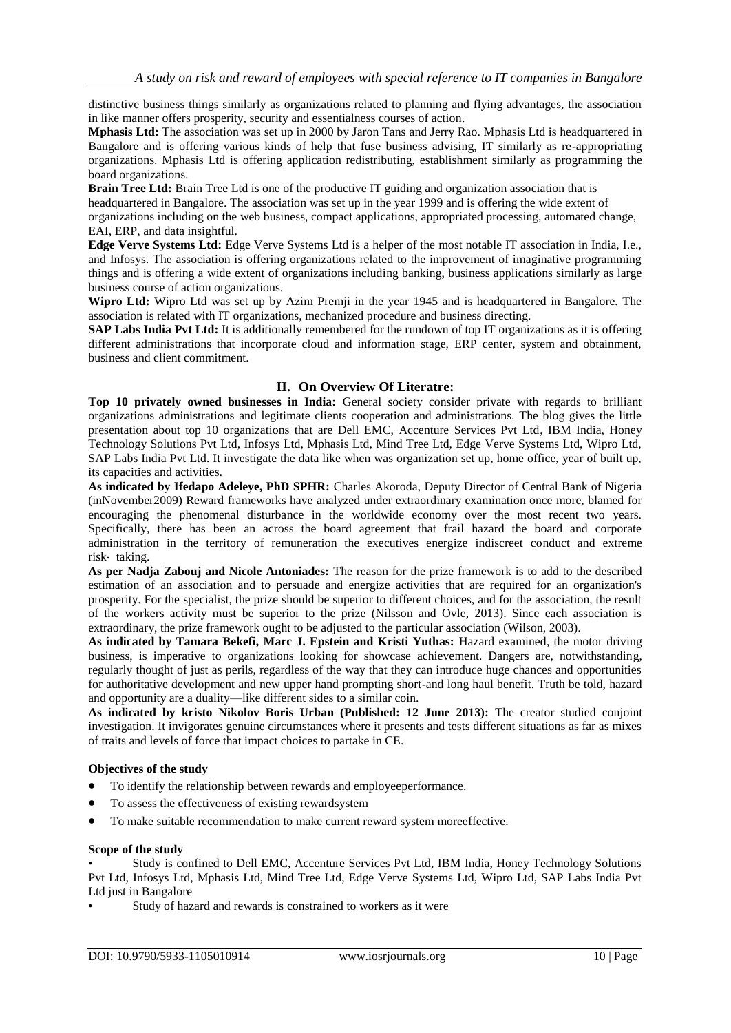distinctive business things similarly as organizations related to planning and flying advantages, the association in like manner offers prosperity, security and essentialness courses of action.

**Mphasis Ltd:** The association was set up in 2000 by Jaron Tans and Jerry Rao. Mphasis Ltd is headquartered in Bangalore and is offering various kinds of help that fuse business advising, IT similarly as re-appropriating organizations. Mphasis Ltd is offering application redistributing, establishment similarly as programming the board organizations.

**Brain Tree Ltd:** Brain Tree Ltd is one of the productive IT guiding and organization association that is headquartered in Bangalore. The association was set up in the year 1999 and is offering the wide extent of organizations including on the web business, compact applications, appropriated processing, automated change, EAI, ERP, and data insightful.

**Edge Verve Systems Ltd:** Edge Verve Systems Ltd is a helper of the most notable IT association in India, I.e., and Infosys. The association is offering organizations related to the improvement of imaginative programming things and is offering a wide extent of organizations including banking, business applications similarly as large business course of action organizations.

**Wipro Ltd:** Wipro Ltd was set up by Azim Premji in the year 1945 and is headquartered in Bangalore. The association is related with IT organizations, mechanized procedure and business directing.

**SAP Labs India Pvt Ltd:** It is additionally remembered for the rundown of top IT organizations as it is offering different administrations that incorporate cloud and information stage, ERP center, system and obtainment, business and client commitment.

# **II. On Overview Of Literatre:**

**Top 10 privately owned businesses in India:** General society consider private with regards to brilliant organizations administrations and legitimate clients cooperation and administrations. The blog gives the little presentation about top 10 organizations that are Dell EMC, Accenture Services Pvt Ltd, IBM India, Honey Technology Solutions Pvt Ltd, Infosys Ltd, Mphasis Ltd, Mind Tree Ltd, Edge Verve Systems Ltd, Wipro Ltd, SAP Labs India Pvt Ltd. It investigate the data like when was organization set up, home office, year of built up, its capacities and activities.

**As indicated by Ifedapo Adeleye, PhD SPHR:** Charles Akoroda, Deputy Director of Central Bank of Nigeria (inNovember2009) Reward frameworks have analyzed under extraordinary examination once more, blamed for encouraging the phenomenal disturbance in the worldwide economy over the most recent two years. Specifically, there has been an across the board agreement that frail hazard the board and corporate administration in the territory of remuneration the executives energize indiscreet conduct and extreme risk‐ taking.

**As per Nadja Zabouj and Nicole Antoniades:** The reason for the prize framework is to add to the described estimation of an association and to persuade and energize activities that are required for an organization's prosperity. For the specialist, the prize should be superior to different choices, and for the association, the result of the workers activity must be superior to the prize (Nilsson and Ovle, 2013). Since each association is extraordinary, the prize framework ought to be adjusted to the particular association (Wilson, 2003).

**As indicated by Tamara Bekefi, Marc J. Epstein and Kristi Yuthas:** Hazard examined, the motor driving business, is imperative to organizations looking for showcase achievement. Dangers are, notwithstanding, regularly thought of just as perils, regardless of the way that they can introduce huge chances and opportunities for authoritative development and new upper hand prompting short-and long haul benefit. Truth be told, hazard and opportunity are a duality—like different sides to a similar coin.

**As indicated by kristo Nikolov Boris Urban (Published: 12 June 2013):** The creator studied conjoint investigation. It invigorates genuine circumstances where it presents and tests different situations as far as mixes of traits and levels of force that impact choices to partake in CE.

# **Objectives of the study**

- To identify the relationship between rewards and employeeperformance.
- To assess the effectiveness of existing rewardsystem
- To make suitable recommendation to make current reward system moreeffective.

# **Scope of the study**

• Study is confined to Dell EMC, Accenture Services Pvt Ltd, IBM India, Honey Technology Solutions Pvt Ltd, Infosys Ltd, Mphasis Ltd, Mind Tree Ltd, Edge Verve Systems Ltd, Wipro Ltd, SAP Labs India Pvt Ltd just in Bangalore

Study of hazard and rewards is constrained to workers as it were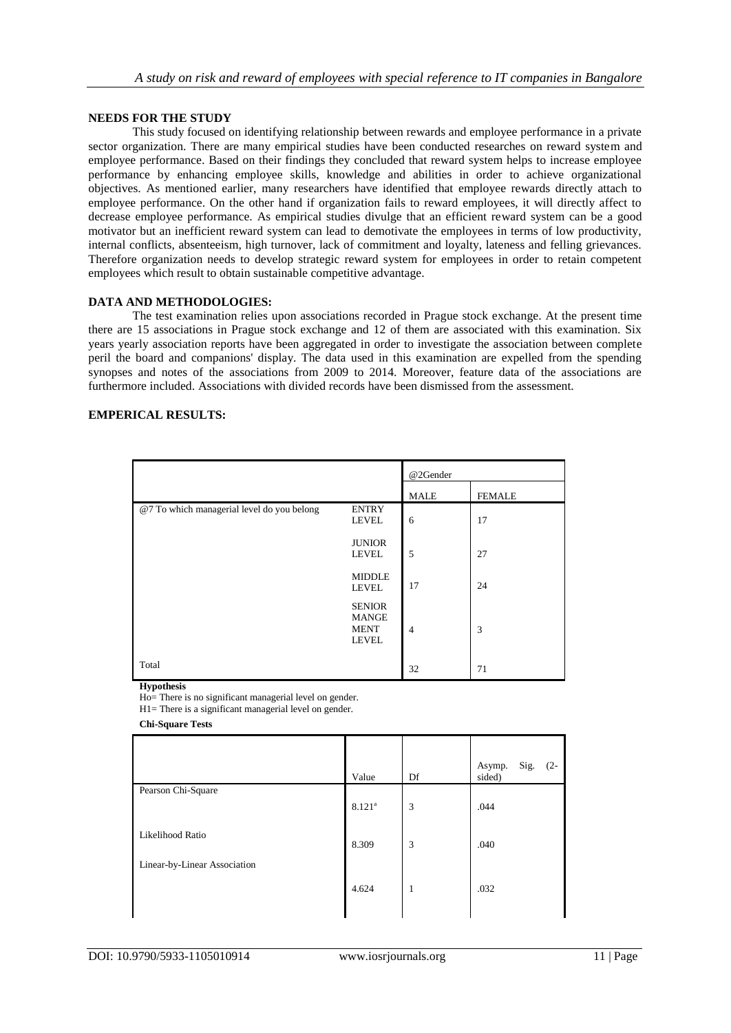# **NEEDS FOR THE STUDY**

This study focused on identifying relationship between rewards and employee performance in a private sector organization. There are many empirical studies have been conducted researches on reward system and employee performance. Based on their findings they concluded that reward system helps to increase employee performance by enhancing employee skills, knowledge and abilities in order to achieve organizational objectives. As mentioned earlier, many researchers have identified that employee rewards directly attach to employee performance. On the other hand if organization fails to reward employees, it will directly affect to decrease employee performance. As empirical studies divulge that an efficient reward system can be a good motivator but an inefficient reward system can lead to demotivate the employees in terms of low productivity, internal conflicts, absenteeism, high turnover, lack of commitment and loyalty, lateness and felling grievances. Therefore organization needs to develop strategic reward system for employees in order to retain competent employees which result to obtain sustainable competitive advantage.

# **DATA AND METHODOLOGIES:**

The test examination relies upon associations recorded in Prague stock exchange. At the present time there are 15 associations in Prague stock exchange and 12 of them are associated with this examination. Six years yearly association reports have been aggregated in order to investigate the association between complete peril the board and companions' display. The data used in this examination are expelled from the spending synopses and notes of the associations from 2009 to 2014. Moreover, feature data of the associations are furthermore included. Associations with divided records have been dismissed from the assessment.

# **EMPERICAL RESULTS:**

|                                            |                                                              | @2Gender       |               |  |
|--------------------------------------------|--------------------------------------------------------------|----------------|---------------|--|
|                                            |                                                              | <b>MALE</b>    | <b>FEMALE</b> |  |
| @7 To which managerial level do you belong | <b>ENTRY</b><br><b>LEVEL</b>                                 | 6              | 17            |  |
|                                            | <b>JUNIOR</b><br><b>LEVEL</b>                                | 5              | 27            |  |
|                                            | <b>MIDDLE</b><br><b>LEVEL</b>                                | 17             | 24            |  |
|                                            | <b>SENIOR</b><br><b>MANGE</b><br><b>MENT</b><br><b>LEVEL</b> | $\overline{4}$ | 3             |  |
| Total                                      |                                                              | 32             | 71            |  |

**Hypothesis**

Ho= There is no significant managerial level on gender.

H1= There is a significant managerial level on gender.

**Chi-Square Tests**

| Value              | Df | Sig.<br>Asymp.<br>$(2 -$<br>sided) |
|--------------------|----|------------------------------------|
|                    |    |                                    |
| 8.121 <sup>a</sup> | 3  | .044                               |
| 8.309              | 3  | .040                               |
|                    |    |                                    |
| 4.624              | 1  | .032                               |
|                    |    |                                    |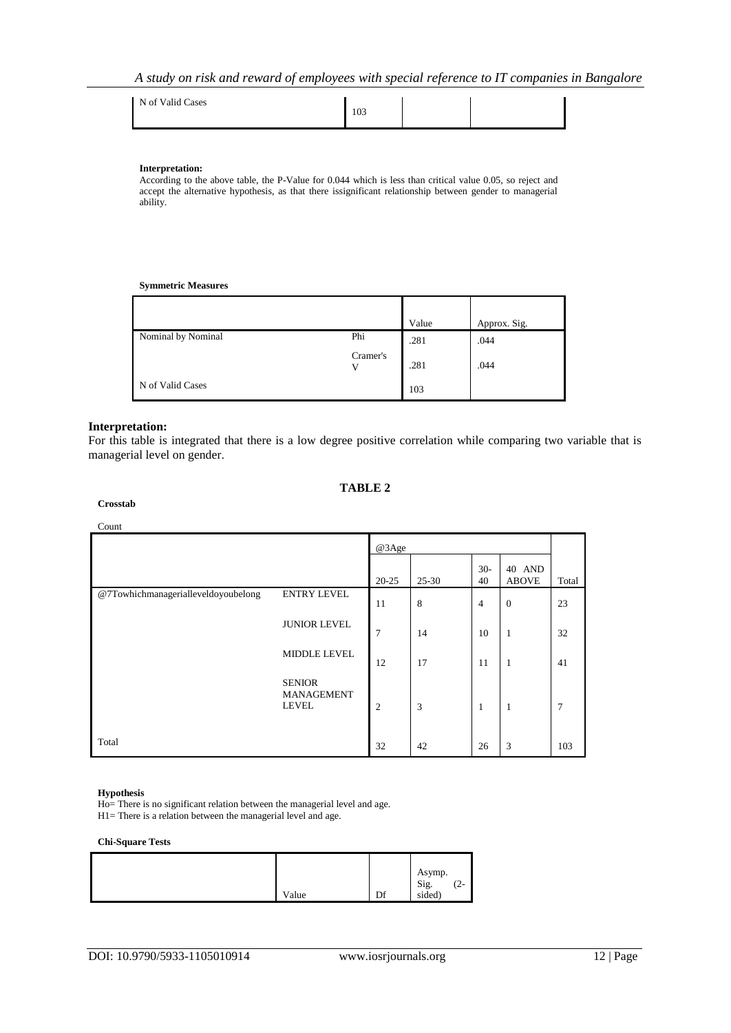| N of Valid Cases | 103 |  |  |
|------------------|-----|--|--|
|------------------|-----|--|--|

#### **Interpretation:**

According to the above table, the P-Value for 0.044 which is less than critical value 0.05, so reject and accept the alternative hypothesis, as that there issignificant relationship between gender to managerial ability.

#### **Symmetric Measures**

|                    |          | Value | Approx. Sig. |
|--------------------|----------|-------|--------------|
| Nominal by Nominal | Phi      | .281  | .044         |
|                    | Cramer's | .281  | .044         |
| N of Valid Cases   |          | 103   |              |

#### **Interpretation:**

For this table is integrated that there is a low degree positive correlation while comparing two variable that is managerial level on gender.

#### **TABLE 2**

# **Crosstab**

# Count

|                                     |                                                    | @3Age          |       |                |                        |       |
|-------------------------------------|----------------------------------------------------|----------------|-------|----------------|------------------------|-------|
|                                     |                                                    | $20 - 25$      | 25-30 | $30-$<br>40    | 40 AND<br><b>ABOVE</b> | Total |
| @7Towhichmanagerialleveldoyoubelong | <b>ENTRY LEVEL</b>                                 | 11             | 8     | $\overline{4}$ | $\theta$               | 23    |
|                                     | <b>JUNIOR LEVEL</b>                                | 7              | 14    | 10             | 1                      | 32    |
|                                     | <b>MIDDLE LEVEL</b>                                | 12             | 17    | 11             | 1                      | 41    |
|                                     | <b>SENIOR</b><br><b>MANAGEMENT</b><br><b>LEVEL</b> | $\overline{2}$ | 3     | 1              | 1                      | 7     |
| Total                               |                                                    | 32             | 42    | 26             | 3                      | 103   |

# **Hypothesis**

Ho= There is no significant relation between the managerial level and age.

H1= There is a relation between the managerial level and age.

#### **Chi-Square Tests**

|       |    | Asymp.         | $\sqrt{2}$ |
|-------|----|----------------|------------|
| Value | Df | Sig.<br>sided) | $\sqrt{2}$ |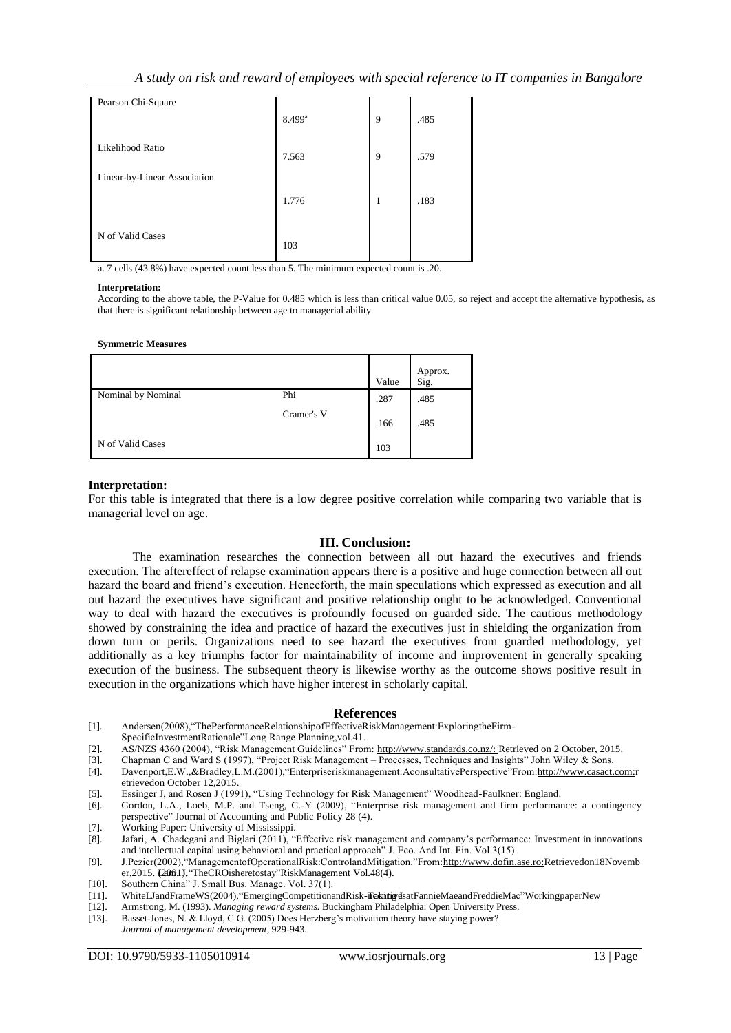| Pearson Chi-Square           |                      |   |      |
|------------------------------|----------------------|---|------|
|                              | $8.499$ <sup>a</sup> | 9 | .485 |
| Likelihood Ratio             | 7.563                | 9 | .579 |
| Linear-by-Linear Association |                      |   |      |
|                              | 1.776                | 1 | .183 |
|                              |                      |   |      |
| N of Valid Cases             | 103                  |   |      |

a. 7 cells (43.8%) have expected count less than 5. The minimum expected count is .20.

#### **Interpretation:**

According to the above table, the P-Value for 0.485 which is less than critical value 0.05, so reject and accept the alternative hypothesis, as that there is significant relationship between age to managerial ability.

#### **Symmetric Measures**

|                    |            | Value | Approx.<br>Sig. |
|--------------------|------------|-------|-----------------|
| Nominal by Nominal | Phi        | .287  | .485            |
|                    | Cramer's V | .166  | .485            |
| N of Valid Cases   |            | 103   |                 |

#### **Interpretation:**

For this table is integrated that there is a low degree positive correlation while comparing two variable that is managerial level on age.

### **III. Conclusion:**

The examination researches the connection between all out hazard the executives and friends execution. The aftereffect of relapse examination appears there is a positive and huge connection between all out hazard the board and friend's execution. Henceforth, the main speculations which expressed as execution and all out hazard the executives have significant and positive relationship ought to be acknowledged. Conventional way to deal with hazard the executives is profoundly focused on guarded side. The cautious methodology showed by constraining the idea and practice of hazard the executives just in shielding the organization from down turn or perils. Organizations need to see hazard the executives from guarded methodology, yet additionally as a key triumphs factor for maintainability of income and improvement in generally speaking execution of the business. The subsequent theory is likewise worthy as the outcome shows positive result in execution in the organizations which have higher interest in scholarly capital.

#### **References**

- [1]. Andersen(2008), "ThePerformanceRelationshipofEffectiveRiskManagement:ExploringtheFirm-
- SpecificInvestmentRationale"Long Range Planning,vol.41.
- [2]. AS/NZS 4360 (2004), "Risk Management Guidelines" From[: http://www.standards.co.nz/: R](http://www.standards.co.nz/)etrieved on 2 October, 2015.
- [3]. Chapman C and Ward S (1997), "Project Risk Management Processes, Techniques and Insights" John Wiley & Sons.<br>[4]. Davenport,E.W.,&Bradley,L.M.(2001), "Enterpriserisk management: Aconsultative Perspective" From: http Davenport,E.W.,&Bradley,L.M.(2001),"Enterpriseriskmanagement:AconsultativePerspective"From[:http://www.casact.com:r](http://www.casact.com/)
- etrievedon October 12,2015.
- [5]. Essinger J, and Rosen J (1991), "Using Technology for Risk Management" Woodhead-Faulkner: England.
- [6]. Gordon, L.A., Loeb, M.P. and Tseng, C.-Y (2009), "Enterprise risk management and firm performance: a contingency perspective" Journal of Accounting and Public Policy 28 (4).
- [7]. Working Paper: University of Mississippi.
- [8]. Jafari, A. Chadegani and Biglari (2011), "Effective risk management and company's performance: Investment in innovations and intellectual capital using behavioral and practical approach" J. Eco. And Int. Fin. Vol.3(15).
- [9]. J.Pezier(2002), "ManagementofOperationalRisk:ControlandMitigation."From[:http://www.dofin.ase.ro:R](http://www.dofin.ase.ro/)etrievedon18Novemb er,2015. L2001J, "TheCROisheretostay"RiskManagement Vol.48(4).
- [10]. Southern China" J. Small Bus. Manage. Vol. 37(1).<br>[11]. WhiteLJandFrameWS(2004), "EmergingCompetitiona
- WhiteLJandFrameWS(2004), "EmergingCompetitionandRisk-TrakinigvdsatFannieMaeandFreddieMac"WorkingpaperNew
- [12]. Armstrong, M. (1993). *Managing reward systems.* Buckingham Philadelphia: Open University Press.
- [13]. Basset-Jones, N. & Lloyd, C.G. (2005) Does Herzberg's motivation theory have staying power? *Journal of management development*, 929-943.